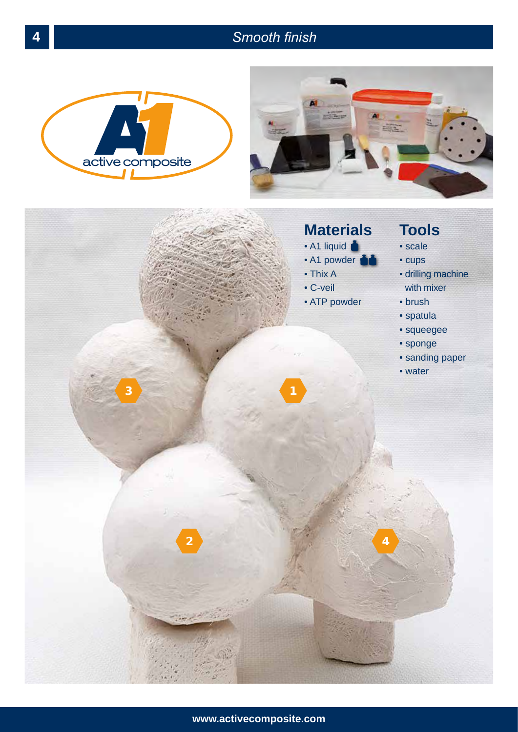# 4 *Smooth finish*







## **www.activecomposite.com**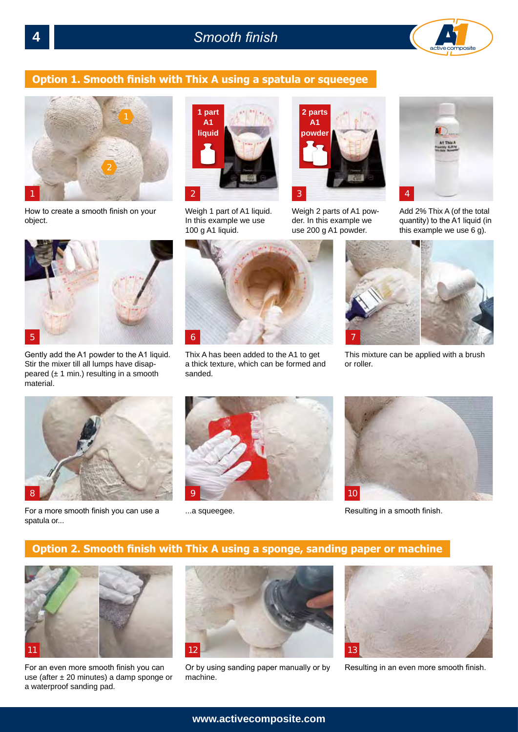

### **Option 1. Smooth finish with Thix A using a spatula or squeegee**



How to create a smooth finish on your object.



Gently add the A1 powder to the A1 liquid. Stir the mixer till all lumps have disappeared  $(± 1 min.)$  resulting in a smooth material.



Weigh 1 part of A1 liquid. In this example we use 100 g A1 liquid.



Weigh 2 parts of A1 powder. In this example we use 200 g A1 powder.



Add 2% Thix A (of the total quantity) to the A1 liquid (in this example we use 6 g).



Thix A has been added to the A1 to get a thick texture, which can be formed and sanded.



This mixture can be applied with a brush or roller.



For a more smooth finish you can use a ...a squeegee. The same sensulting in a smooth finish. spatula or...





### **Option 2. Smooth finish with Thix A using a sponge, sanding paper or machine**



For an even more smooth finish you can use (after  $\pm 20$  minutes) a damp sponge or a waterproof sanding pad.



Or by using sanding paper manually or by machine.



Resulting in an even more smooth finish.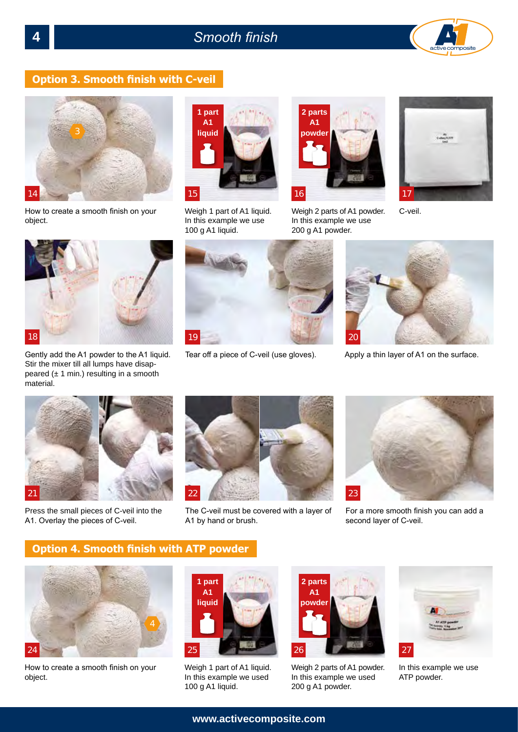

#### **Option 3. Smooth finish with C-veil**



How to create a smooth finish on your object.



Gently add the A1 powder to the A1 liquid. Stir the mixer till all lumps have disappeared  $(± 1 min.)$  resulting in a smooth material.



Weigh 1 part of A1 liquid. In this example we use 100 g A1 liquid.



Weigh 2 parts of A1 powder. In this example we use 200 g A1 powder.



C-veil.



Tear off a piece of C-veil (use gloves).



Apply a thin layer of A1 on the surface.



Press the small pieces of C-veil into the A1. Overlay the pieces of C-veil.



The C-veil must be covered with a layer of A1 by hand or brush.



For a more smooth finish you can add a second layer of C-veil.

## **Option 4. Smooth finish with ATP powder**



How to create a smooth finish on your object.



Weigh 1 part of A1 liquid. In this example we used 100 g A1 liquid.



Weigh 2 parts of A1 powder. In this example we used 200 g A1 powder.



In this example we use ATP powder.